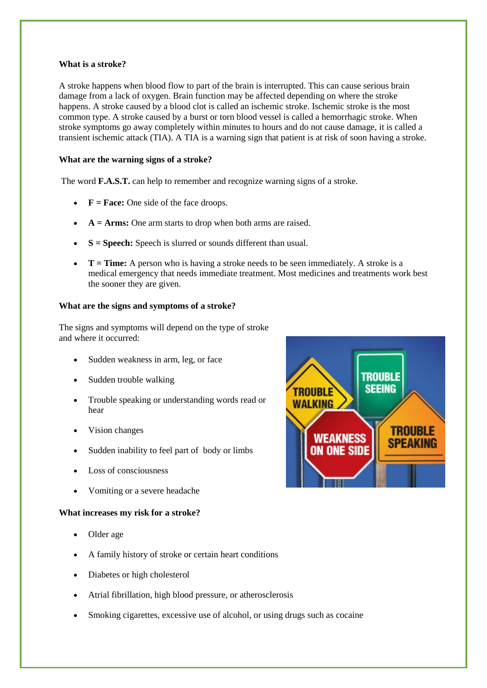# **What is a stroke?**

A stroke happens when blood flow to part of the brain is interrupted. This can cause serious brain damage from a lack of oxygen. Brain function may be affected depending on where the stroke happens. A stroke caused by a blood clot is called an ischemic stroke. Ischemic stroke is the most common type. A stroke caused by a burst or torn blood vessel is called a hemorrhagic stroke. When stroke symptoms go away completely within minutes to hours and do not cause damage, it is called a transient ischemic attack (TIA). A TIA is a warning sign that patient is at risk of soon having a stroke.

### **What are the warning signs of a stroke?**

The word **F.A.S.T.** can help to remember and recognize warning signs of a stroke.

- **F** = **Face:** One side of the face droops.
- **A = Arms:** One arm starts to drop when both arms are raised.
- **S** = **Speech:** Speech is slurred or sounds different than usual.
- **T = Time:** A person who is having a stroke needs to be seen immediately. A stroke is a medical emergency that needs immediate treatment. Most medicines and treatments work best the sooner they are given.

#### **What are the signs and symptoms of a stroke?**

The signs and symptoms will depend on the type of stroke and where it occurred:

- Sudden weakness in arm, leg, or face
- Sudden trouble walking
- Trouble speaking or understanding words read or hear
- Vision changes
- Sudden inability to feel part of body or limbs
- Loss of consciousness
- Vomiting or a severe headache

#### **What increases my risk for a stroke?**

- Older age
- A family history of stroke or certain heart conditions
- Diabetes or high cholesterol
- Atrial fibrillation, high blood pressure, or atherosclerosis
- Smoking cigarettes, excessive use of alcohol, or using drugs such as cocaine

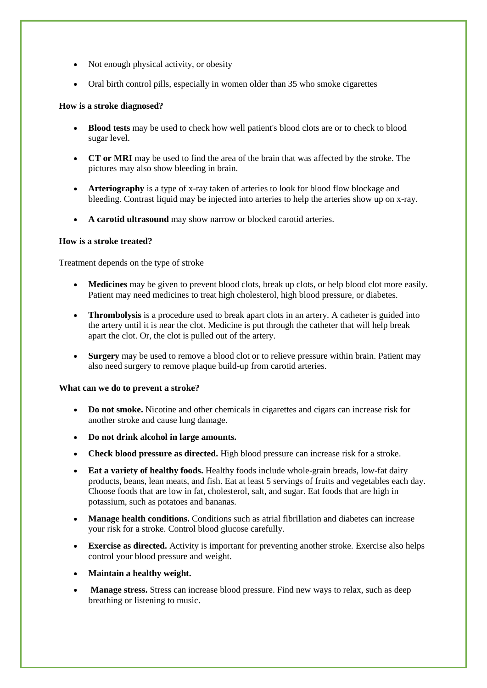- Not enough physical activity, or obesity
- Oral birth control pills, especially in women older than 35 who smoke cigarettes

# **How is a stroke diagnosed?**

- **Blood tests** may be used to check how well patient's blood clots are or to check to blood sugar level.
- **CT or MRI** may be used to find the area of the brain that was affected by the stroke. The pictures may also show bleeding in brain.
- **Arteriography** is a type of x-ray taken of arteries to look for blood flow blockage and bleeding. Contrast liquid may be injected into arteries to help the arteries show up on x-ray.
- **A carotid ultrasound** may show narrow or blocked carotid arteries.

# **How is a stroke treated?**

Treatment depends on the type of stroke

- **Medicines** may be given to prevent blood clots, break up clots, or help blood clot more easily. Patient may need medicines to treat high cholesterol, high blood pressure, or diabetes.
- **Thrombolysis** is a procedure used to break apart clots in an artery. A catheter is guided into the artery until it is near the clot. Medicine is put through the catheter that will help break apart the clot. Or, the clot is pulled out of the artery.
- **Surgery** may be used to remove a blood clot or to relieve pressure within brain. Patient may also need surgery to remove plaque build-up from carotid arteries.

# **What can we do to prevent a stroke?**

- **Do not smoke.** Nicotine and other chemicals in cigarettes and cigars can increase risk for another stroke and cause lung damage.
- **Do not drink alcohol in large amounts.**
- **Check blood pressure as directed.** High blood pressure can increase risk for a stroke.
- **Eat a variety of healthy foods.** Healthy foods include whole-grain breads, low-fat dairy products, beans, lean meats, and fish. Eat at least 5 servings of fruits and vegetables each day. Choose foods that are low in fat, cholesterol, salt, and sugar. Eat foods that are high in potassium, such as potatoes and bananas.
- **Manage health conditions.** Conditions such as atrial fibrillation and diabetes can increase your risk for a stroke. Control blood glucose carefully.
- **Exercise as directed.** Activity is important for preventing another stroke. Exercise also helps control your blood pressure and weight.
- **Maintain a healthy weight.**
- **Manage stress.** Stress can increase blood pressure. Find new ways to relax, such as deep breathing or listening to music.